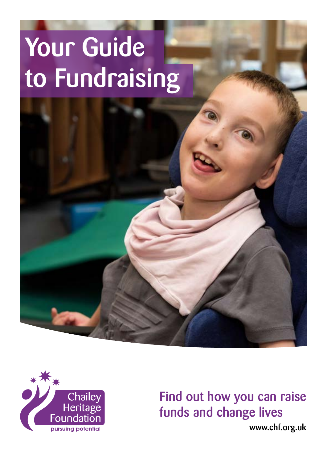# Your Guide to Fundraising





Find out how you can raise funds and change lives

[www.chf.org.uk](http://www.chf.org.uk)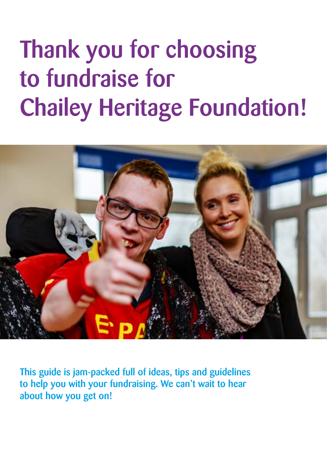# Thank you for choosing to fundraise for Chailey Heritage Foundation!



This guide is jam-packed full of ideas, tips and guidelines to help you with your fundraising. We can't wait to hear about how you get on!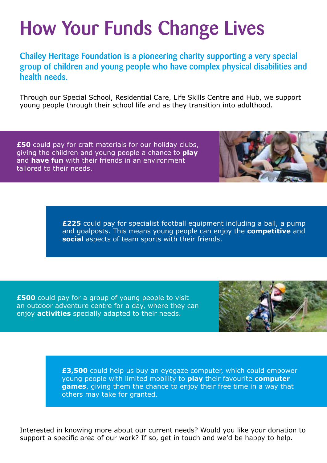### How Your Funds Change Lives

Chailey Heritage Foundation is a pioneering charity supporting a very special group of children and young people who have complex physical disabilities and health needs.

Through our Special School, Residential Care, Life Skills Centre and Hub, we support young people through their school life and as they transition into adulthood.

**£50** could pay for craft materials for our holiday clubs, giving the children and young people a chance to **play** and **have fun** with their friends in an environment tailored to their needs.

> **£225** could pay for specialist football equipment including a ball, a pump and goalposts. This means young people can enjoy the **competitive** and **social** aspects of team sports with their friends.

**£500** could pay for a group of young people to visit an outdoor adventure centre for a day, where they can enjoy **activities** specially adapted to their needs.



**£3,500** could help us buy an eyegaze computer, which could empower young people with limited mobility to **play** their favourite **computer games**, giving them the chance to enjoy their free time in a way that others may take for granted.

Interested in knowing more about our current needs? Would you like your donation to support a specific area of our work? If so, get in touch and we'd be happy to help.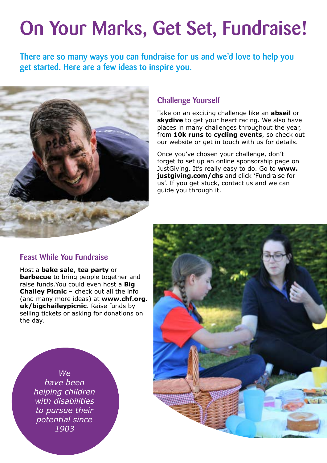### On Your Marks, Get Set, Fundraise!

There are so many ways you can fundraise for us and we'd love to help you get started. Here are a few ideas to inspire you.



#### Challenge Yourself

Take on an exciting challenge like an **abseil** or **skydive** to get your heart racing. We also have places in many challenges throughout the year, from **10k runs** to **cycling events**, so check out our website or get in touch with us for details.

Once you've chosen your challenge, don't forget to set up an online sponsorship page on JustGiving. It's really easy to do. Go to **[www.](http://www.justgiving.com/chs) [justgiving.com/chs](http://www.justgiving.com/chs)** and click 'Fundraise for us'. If you get stuck, contact us and we can guide you through it.

#### Feast While You Fundraise

Host a **bake sale**, **tea party** or **barbecue** to bring people together and raise funds.You could even host a **Big Chailey Picnic** – check out all the info (and many more ideas) at **[www.chf.org.](https://www.chf.org.uk/thebigchaileypicnic.html) [uk/bigchaileypicnic](https://www.chf.org.uk/thebigchaileypicnic.html)**. Raise funds by selling tickets or asking for donations on the day.



*We have been helping children with disabilities to pursue their potential since 1903*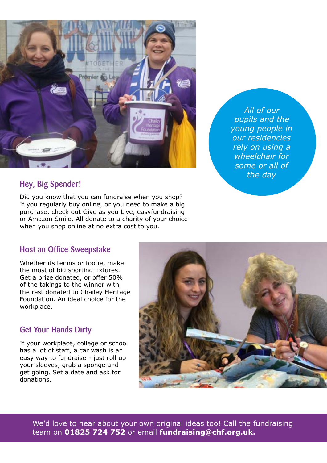

*All of our pupils and the young people in our residencies rely on using a wheelchair for some or all of the day*

#### Hey, Big Spender!

Did you know that you can fundraise when you shop? If you regularly buy online, or you need to make a big purchase, check out [Give as you Live,](https://www.giveasyoulive.com/) [easyfundraising](https://www.easyfundraising.org.uk/)  or [Amazon Smile.](https://smile.amazon.co.uk/) All donate to a charity of your choice when you shop online at no extra cost to you.

#### Host an Office Sweepstake

Whether its tennis or footie, make the most of big sporting fixtures. Get a prize donated, or offer 50% of the takings to the winner with the rest donated to Chailey Heritage Foundation. An ideal choice for the workplace.

#### Get Your Hands Dirty

If your workplace, college or school has a lot of staff, a car wash is an easy way to fundraise - just roll up your sleeves, grab a sponge and get going. Set a date and ask for donations.



We'd love to hear about your own original ideas too! Call the fundraising team on **01825 724 752** or email **[fundraising@chf.org.uk.](mailto:fundraising@chf.org.uk)**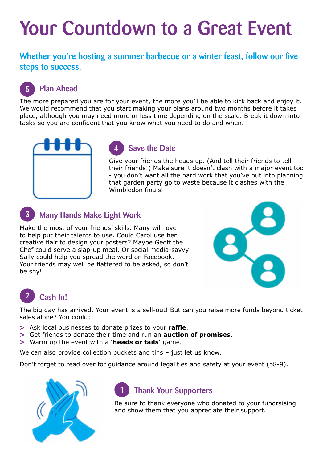### Your Countdown to a Great Event

Whether you're hosting a summer barbecue or a winter feast, follow our five steps to success.

#### Plan Ahead 5

The more prepared you are for your event, the more you'll be able to kick back and enjoy it. We would recommend that you start making your plans around two months before it takes place, although you may need more or less time depending on the scale. Break it down into tasks so you are confident that you know what you need to do and when.



#### Save the Date 4

Give your friends the heads up. (And tell their friends to tell their friends!) Make sure it doesn't clash with a major event too - you don't want all the hard work that you've put into planning that garden party go to waste because it clashes with the Wimbledon finals!

#### Many Hands Make Light Work 3

Make the most of your friends' skills. Many will love to help put their talents to use. Could Carol use her creative flair to design your posters? Maybe Geoff the Chef could serve a slap-up meal. Or social media-savvy Sally could help you spread the word on Facebook. Your friends may well be flattered to be asked, so don't be shy!



#### Cash In! 2

The big day has arrived. Your event is a sell-out! But can you raise more funds beyond ticket sales alone? You could:

- **>** Ask local businesses to donate prizes to your **raffle**.
- **>** Get friends to donate their time and run an **auction of promises**.
- **>** Warm up the event with a **'heads or tails'** game.

We can also provide collection buckets and tins - just let us know.

Don't forget to read over for guidance around legalities and safety at your event (p8-9).



#### Thank Your Supporters 1

Be sure to thank everyone who donated to your fundraising and show them that you appreciate their support.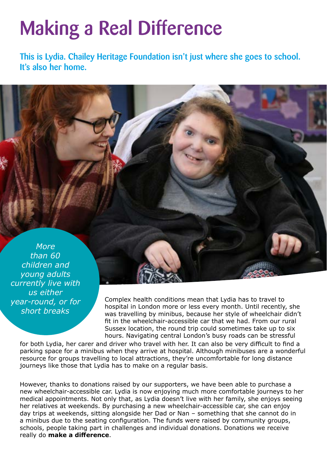### Making a Real Difference

This is Lydia. Chailey Heritage Foundation isn't just where she goes to school. It's also her home.

*More than 60 children and young adults currently live with us either year-round, or for short breaks*

Complex health conditions mean that Lydia has to travel to hospital in London more or less every month. Until recently, she was travelling by minibus, because her style of wheelchair didn't fit in the wheelchair-accessible car that we had. From our rural Sussex location, the round trip could sometimes take up to six hours. Navigating central London's busy roads can be stressful

for both Lydia, her carer and driver who travel with her. It can also be very difficult to find a parking space for a minibus when they arrive at hospital. Although minibuses are a wonderful resource for groups travelling to local attractions, they're uncomfortable for long distance journeys like those that Lydia has to make on a regular basis.

However, thanks to donations raised by our supporters, we have been able to purchase a new wheelchair-accessible car. Lydia is now enjoying much more comfortable journeys to her medical appointments. Not only that, as Lydia doesn't live with her family, she enjoys seeing her relatives at weekends. By purchasing a new wheelchair-accessible car, she can enjoy day trips at weekends, sitting alongside her Dad or Nan – something that she cannot do in a minibus due to the seating configuration. The funds were raised by community groups, schools, people taking part in challenges and individual donations. Donations we receive really do **make a difference**.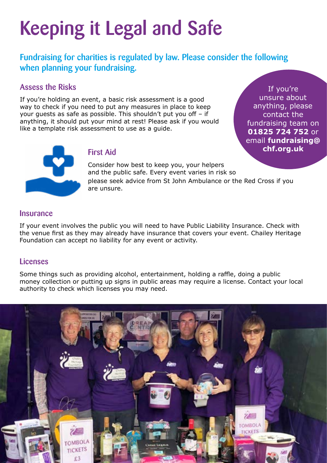# Keeping it Legal and Safe

Fundraising for charities is regulated by law. Please consider the following when planning your fundraising.

#### Assess the Risks

If you're holding an event, a basic risk assessment is a good way to check if you need to put any measures in place to keep your guests as safe as possible. This shouldn't put you off – if anything, it should put your mind at rest! Please ask if you would like a template risk assessment to use as a guide.

If you're unsure about anything, please contact the fundraising team on **01825 724 752** or email **[fundraising@](mailto:fundraising@chf.org.uk) chf.org.uk**



#### First Aid

Consider how best to keep you, your helpers and the public safe. Every event varies in risk so

please seek advice from St John Ambulance or the Red Cross if you are unsure.

#### **Insurance**

If your event involves the public you will need to have Public Liability Insurance. Check with the venue first as they may already have insurance that covers your event. Chailey Heritage Foundation can accept no liability for any event or activity.

#### Licenses

Some things such as providing alcohol, entertainment, holding a raffle, doing a public money collection or putting up signs in public areas may require a license. Contact your local authority to check which licenses you may need.

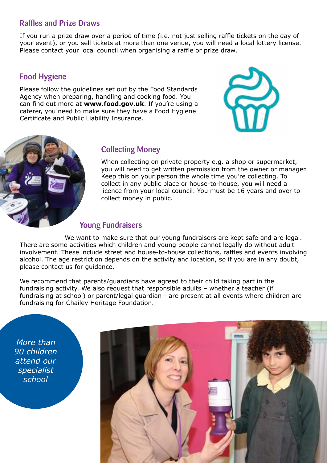#### Raffles and Prize Draws

If you run a prize draw over a period of time (i.e. not just selling raffle tickets on the day of your event), or you sell tickets at more than one venue, you will need a local lottery license. Please contact your local council when organising a raffle or prize draw.

### Food Hygiene

Please follow the guidelines set out by the Food Standards Agency when preparing, handling and cooking food. You can find out more at **[www.food.gov.uk](http://www.food.gov.uk)**. If you're using a caterer, you need to make sure they have a Food Hygiene Certificate and Public Liability Insurance.





#### Collecting Money

When collecting on private property e.g. a shop or supermarket, you will need to get written permission from the owner or manager. Keep this on your person the whole time you're collecting. To collect in any public place or house-to-house, you will need a licence from your local council. You must be 16 years and over to collect money in public.

#### Young Fundraisers

We want to make sure that our young fundraisers are kept safe and are legal. There are some activities which children and young people cannot legally do without adult involvement. These include street and house-to-house collections, raffles and events involving alcohol. The age restriction depends on the activity and location, so if you are in any doubt, please contact us for guidance.

We recommend that parents/guardians have agreed to their child taking part in the fundraising activity. We also request that responsible adults – whether a teacher (if fundraising at school) or parent/legal guardian - are present at all events where children are fundraising for Chailey Heritage Foundation.

*More than 90 children attend our specialist school*

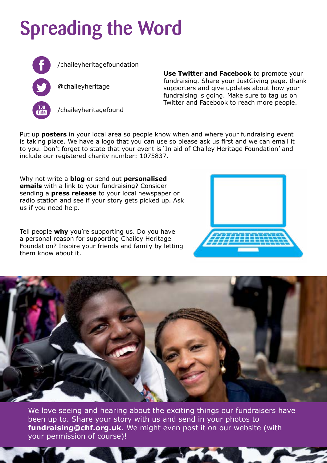# Spreading the Word



[/chaileyheritagefoundation](https://www.facebook.com/ChaileyHeritageFoundation)

[@chaileyheritage](https://twitter.com/ChaileyHeritage)



[/chaileyheritagefound](https://www.youtube.com/user/ChaileyHeritageFound)

**Use Twitter and Facebook** to promote your fundraising. Share your JustGiving page, thank supporters and give updates about how your fundraising is going. Make sure to tag us on Twitter and Facebook to reach more people.

Put up **posters** in your local area so people know when and where your fundraising event is taking place. We have a logo that you can use so please ask us first and we can email it to you. Don't forget to state that your event is 'In aid of Chailey Heritage Foundation' and include our registered charity number: 1075837.

Why not write a **blog** or send out **personalised emails** with a link to your fundraising? Consider sending a **press release** to your local newspaper or radio station and see if your story gets picked up. Ask us if you need help.

Tell people **why** you're supporting us. Do you have a personal reason for supporting Chailey Heritage Foundation? Inspire your friends and family by letting them know about it.





We love seeing and hearing about the exciting things our fundraisers have been up to. Share your story with us and send in your photos to **[fundraising@chf.org.uk](mailto:fundraising@chf.org.uk)**. We might even post it on our website (with your permission of course)!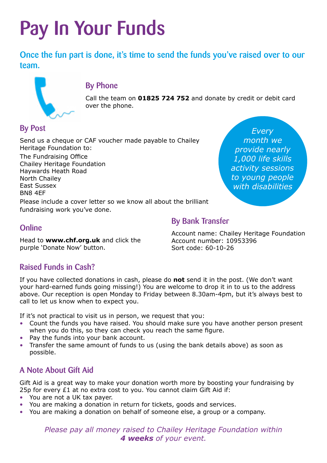# Pay In Your Funds

Once the fun part is done, it's time to send the funds you've raised over to our team.



#### By Phone

Call the team on **01825 724 752** and donate by credit or debit card over the phone.

By Bank Transfer

### By Post

Send us a cheque or CAF voucher made payable to Chailey Heritage Foundation to: The Fundraising Office Chailey Heritage Foundation Haywards Heath Road North Chailey East Sussex BN8 4EF

*Every month we provide nearly 1,000 life skills activity sessions to young people with disabilities*

Please include a cover letter so we know all about the brilliant fundraising work you've done.

### **Online**

Head to **[www.chf.org.uk](http://www.chf.org.uk)** and click the purple 'Donate Now' button.

Account name: Chailey Heritage Foundation Account number: 10953396 Sort code: 60-10-26

### Raised Funds in Cash?

If you have collected donations in cash, please do **not** send it in the post. (We don't want your hard-earned funds going missing!) You are welcome to drop it in to us to the address above. Our reception is open Monday to Friday between 8.30am-4pm, but it's always best to call to let us know when to expect you.

If it's not practical to visit us in person, we request that you:

- Count the funds you have raised. You should make sure you have another person present when you do this, so they can check you reach the same figure.
- Pay the funds into your bank account.
- Transfer the same amount of funds to us (using the bank details above) as soon as possible.

### A Note About Gift Aid

Gift Aid is a great way to make your donation worth more by boosting your fundraising by 25p for every  $E1$  at no extra cost to you. You cannot claim Gift Aid if:

- You are not a UK tax payer.
- You are making a donation in return for tickets, goods and services.
- You are making a donation on behalf of someone else, a group or a company.

*Please pay all money raised to Chailey Heritage Foundation within 4 weeks of your event.*